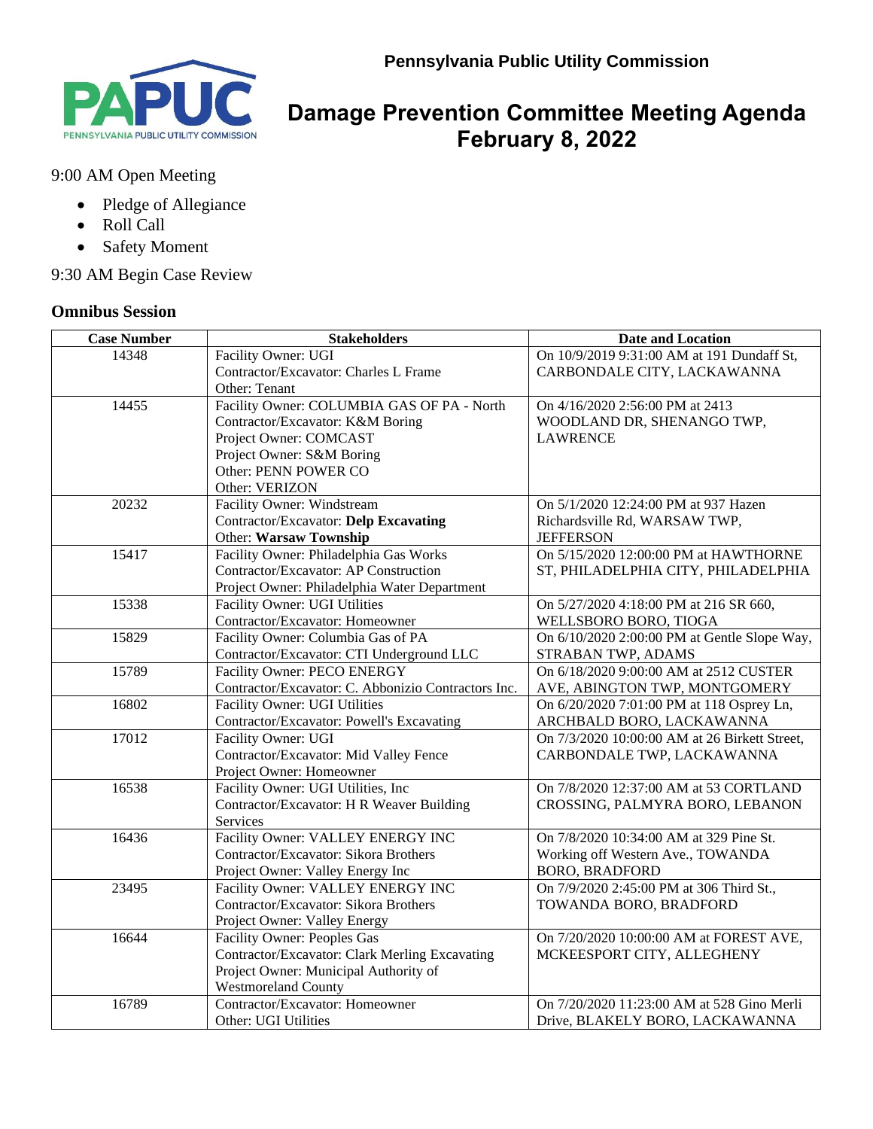

## **Damage Prevention Committee Meeting Agenda February 8, 2022**

## 9:00 AM Open Meeting

- Pledge of Allegiance
- Roll Call
- Safety Moment

9:30 AM Begin Case Review

## **Omnibus Session**

| <b>Case Number</b> | <b>Stakeholders</b>                                 | <b>Date and Location</b>                      |
|--------------------|-----------------------------------------------------|-----------------------------------------------|
| 14348              | Facility Owner: UGI                                 | On 10/9/2019 9:31:00 AM at 191 Dundaff St,    |
|                    | Contractor/Excavator: Charles L Frame               | CARBONDALE CITY, LACKAWANNA                   |
|                    | Other: Tenant                                       |                                               |
| 14455              | Facility Owner: COLUMBIA GAS OF PA - North          | On 4/16/2020 2:56:00 PM at 2413               |
|                    | Contractor/Excavator: K&M Boring                    | WOODLAND DR, SHENANGO TWP,                    |
|                    | Project Owner: COMCAST                              | <b>LAWRENCE</b>                               |
|                    | Project Owner: S&M Boring                           |                                               |
|                    | Other: PENN POWER CO                                |                                               |
|                    | Other: VERIZON                                      |                                               |
| 20232              | Facility Owner: Windstream                          | On 5/1/2020 12:24:00 PM at 937 Hazen          |
|                    | Contractor/Excavator: Delp Excavating               | Richardsville Rd, WARSAW TWP,                 |
|                    | Other: Warsaw Township                              | <b>JEFFERSON</b>                              |
| 15417              | Facility Owner: Philadelphia Gas Works              | On 5/15/2020 12:00:00 PM at HAWTHORNE         |
|                    | Contractor/Excavator: AP Construction               | ST, PHILADELPHIA CITY, PHILADELPHIA           |
|                    | Project Owner: Philadelphia Water Department        |                                               |
| 15338              | Facility Owner: UGI Utilities                       | On 5/27/2020 4:18:00 PM at 216 SR 660,        |
|                    | Contractor/Excavator: Homeowner                     | WELLSBORO BORO, TIOGA                         |
| 15829              | Facility Owner: Columbia Gas of PA                  | On 6/10/2020 2:00:00 PM at Gentle Slope Way,  |
|                    | Contractor/Excavator: CTI Underground LLC           | STRABAN TWP, ADAMS                            |
| 15789              | Facility Owner: PECO ENERGY                         | On 6/18/2020 9:00:00 AM at 2512 CUSTER        |
|                    | Contractor/Excavator: C. Abbonizio Contractors Inc. | AVE, ABINGTON TWP, MONTGOMERY                 |
| 16802              | <b>Facility Owner: UGI Utilities</b>                | On 6/20/2020 7:01:00 PM at 118 Osprey Ln,     |
|                    | Contractor/Excavator: Powell's Excavating           | ARCHBALD BORO, LACKAWANNA                     |
| 17012              | Facility Owner: UGI                                 | On 7/3/2020 10:00:00 AM at 26 Birkett Street, |
|                    | Contractor/Excavator: Mid Valley Fence              | CARBONDALE TWP, LACKAWANNA                    |
|                    | Project Owner: Homeowner                            |                                               |
| 16538              | Facility Owner: UGI Utilities, Inc                  | On 7/8/2020 12:37:00 AM at 53 CORTLAND        |
|                    | Contractor/Excavator: H R Weaver Building           | CROSSING, PALMYRA BORO, LEBANON               |
|                    | Services                                            |                                               |
| 16436              | Facility Owner: VALLEY ENERGY INC                   | On 7/8/2020 10:34:00 AM at 329 Pine St.       |
|                    | Contractor/Excavator: Sikora Brothers               | Working off Western Ave., TOWANDA             |
|                    | Project Owner: Valley Energy Inc                    | <b>BORO, BRADFORD</b>                         |
| 23495              | Facility Owner: VALLEY ENERGY INC                   | On 7/9/2020 2:45:00 PM at 306 Third St.,      |
|                    | Contractor/Excavator: Sikora Brothers               | TOWANDA BORO, BRADFORD                        |
|                    | Project Owner: Valley Energy                        |                                               |
| 16644              | <b>Facility Owner: Peoples Gas</b>                  | On 7/20/2020 10:00:00 AM at FOREST AVE,       |
|                    | Contractor/Excavator: Clark Merling Excavating      | MCKEESPORT CITY, ALLEGHENY                    |
|                    | Project Owner: Municipal Authority of               |                                               |
|                    | Westmoreland County                                 |                                               |
| 16789              | Contractor/Excavator: Homeowner                     | On 7/20/2020 11:23:00 AM at 528 Gino Merli    |
|                    | Other: UGI Utilities                                | Drive, BLAKELY BORO, LACKAWANNA               |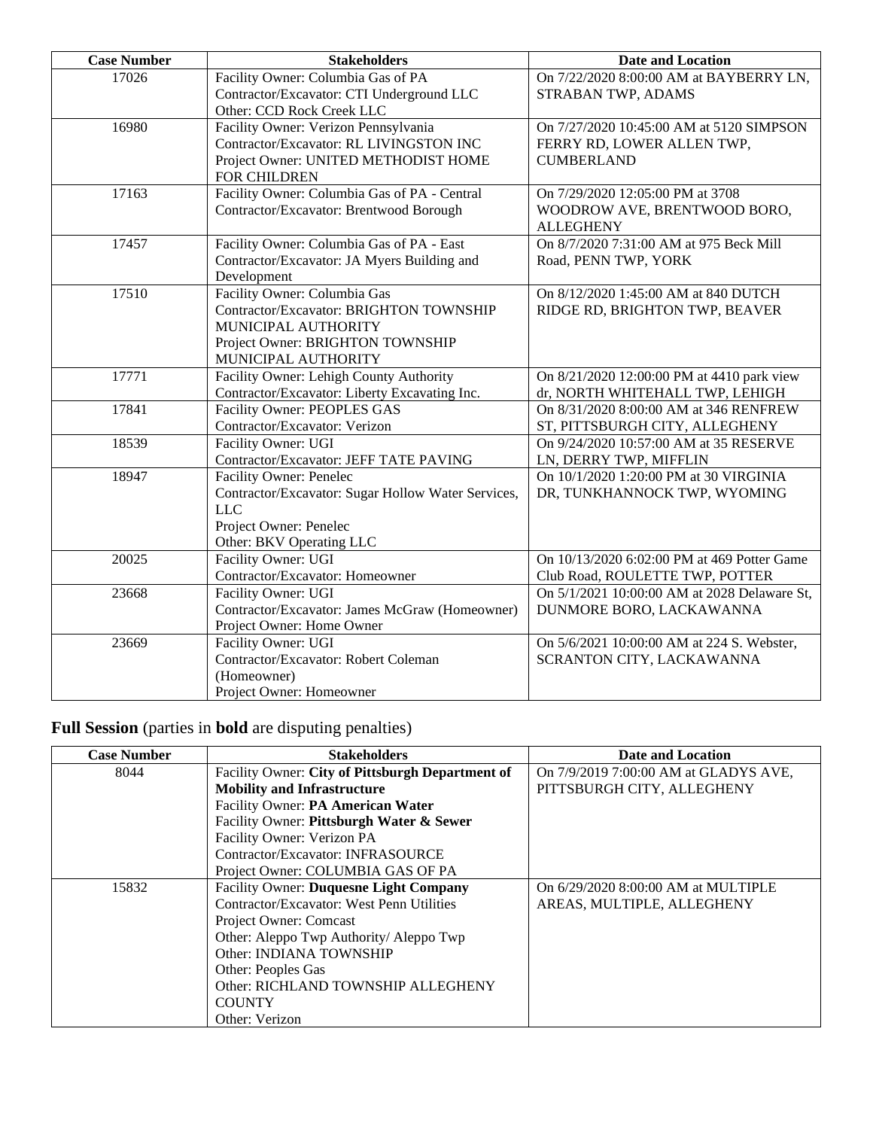| <b>Case Number</b> | <b>Stakeholders</b>                                              | <b>Date and Location</b>                     |
|--------------------|------------------------------------------------------------------|----------------------------------------------|
| 17026              | Facility Owner: Columbia Gas of PA                               | On 7/22/2020 8:00:00 AM at BAYBERRY LN,      |
|                    | Contractor/Excavator: CTI Underground LLC                        | STRABAN TWP, ADAMS                           |
|                    | Other: CCD Rock Creek LLC                                        |                                              |
| 16980              | Facility Owner: Verizon Pennsylvania                             | On 7/27/2020 10:45:00 AM at 5120 SIMPSON     |
|                    | Contractor/Excavator: RL LIVINGSTON INC                          | FERRY RD, LOWER ALLEN TWP,                   |
|                    | Project Owner: UNITED METHODIST HOME                             | <b>CUMBERLAND</b>                            |
|                    | FOR CHILDREN                                                     |                                              |
| 17163              | Facility Owner: Columbia Gas of PA - Central                     | On 7/29/2020 12:05:00 PM at 3708             |
|                    | Contractor/Excavator: Brentwood Borough                          | WOODROW AVE, BRENTWOOD BORO,                 |
|                    |                                                                  | <b>ALLEGHENY</b>                             |
| 17457              | Facility Owner: Columbia Gas of PA - East                        | On 8/7/2020 7:31:00 AM at 975 Beck Mill      |
|                    | Contractor/Excavator: JA Myers Building and                      | Road, PENN TWP, YORK                         |
|                    | Development                                                      |                                              |
| 17510              | Facility Owner: Columbia Gas                                     | On 8/12/2020 1:45:00 AM at 840 DUTCH         |
|                    | Contractor/Excavator: BRIGHTON TOWNSHIP                          | RIDGE RD, BRIGHTON TWP, BEAVER               |
|                    | MUNICIPAL AUTHORITY                                              |                                              |
|                    | Project Owner: BRIGHTON TOWNSHIP                                 |                                              |
|                    | MUNICIPAL AUTHORITY                                              |                                              |
| 17771              | Facility Owner: Lehigh County Authority                          | On 8/21/2020 12:00:00 PM at 4410 park view   |
|                    | Contractor/Excavator: Liberty Excavating Inc.                    | dr, NORTH WHITEHALL TWP, LEHIGH              |
| 17841              | Facility Owner: PEOPLES GAS                                      | On 8/31/2020 8:00:00 AM at 346 RENFREW       |
|                    | Contractor/Excavator: Verizon                                    | ST, PITTSBURGH CITY, ALLEGHENY               |
| 18539              | Facility Owner: UGI                                              | On 9/24/2020 10:57:00 AM at 35 RESERVE       |
|                    | Contractor/Excavator: JEFF TATE PAVING                           | LN, DERRY TWP, MIFFLIN                       |
| 18947              | Facility Owner: Penelec                                          | On 10/1/2020 1:20:00 PM at 30 VIRGINIA       |
|                    | Contractor/Excavator: Sugar Hollow Water Services,<br><b>LLC</b> | DR, TUNKHANNOCK TWP, WYOMING                 |
|                    | Project Owner: Penelec                                           |                                              |
|                    | Other: BKV Operating LLC                                         |                                              |
| 20025              | Facility Owner: UGI                                              | On 10/13/2020 6:02:00 PM at 469 Potter Game  |
|                    | Contractor/Excavator: Homeowner                                  | Club Road, ROULETTE TWP, POTTER              |
| 23668              | Facility Owner: UGI                                              | On 5/1/2021 10:00:00 AM at 2028 Delaware St, |
|                    | Contractor/Excavator: James McGraw (Homeowner)                   | DUNMORE BORO, LACKAWANNA                     |
|                    | Project Owner: Home Owner                                        |                                              |
| 23669              | Facility Owner: UGI                                              | On 5/6/2021 10:00:00 AM at 224 S. Webster,   |
|                    | Contractor/Excavator: Robert Coleman                             | SCRANTON CITY, LACKAWANNA                    |
|                    | (Homeowner)                                                      |                                              |
|                    | Project Owner: Homeowner                                         |                                              |

**Full Session** (parties in **bold** are disputing penalties)

| <b>Case Number</b> | <b>Stakeholders</b>                              | <b>Date and Location</b>              |
|--------------------|--------------------------------------------------|---------------------------------------|
| 8044               | Facility Owner: City of Pittsburgh Department of | On 7/9/2019 7:00:00 AM at GLADYS AVE, |
|                    | <b>Mobility and Infrastructure</b>               | PITTSBURGH CITY, ALLEGHENY            |
|                    | Facility Owner: PA American Water                |                                       |
|                    | Facility Owner: Pittsburgh Water & Sewer         |                                       |
|                    | Facility Owner: Verizon PA                       |                                       |
|                    | Contractor/Excavator: INFRASOURCE                |                                       |
|                    | Project Owner: COLUMBIA GAS OF PA                |                                       |
| 15832              | <b>Facility Owner: Duquesne Light Company</b>    | On 6/29/2020 8:00:00 AM at MULTIPLE   |
|                    | Contractor/Excavator: West Penn Utilities        | AREAS, MULTIPLE, ALLEGHENY            |
|                    | Project Owner: Comcast                           |                                       |
|                    | Other: Aleppo Twp Authority/ Aleppo Twp          |                                       |
|                    | Other: INDIANA TOWNSHIP                          |                                       |
|                    | Other: Peoples Gas                               |                                       |
|                    | Other: RICHLAND TOWNSHIP ALLEGHENY               |                                       |
|                    | <b>COUNTY</b>                                    |                                       |
|                    | Other: Verizon                                   |                                       |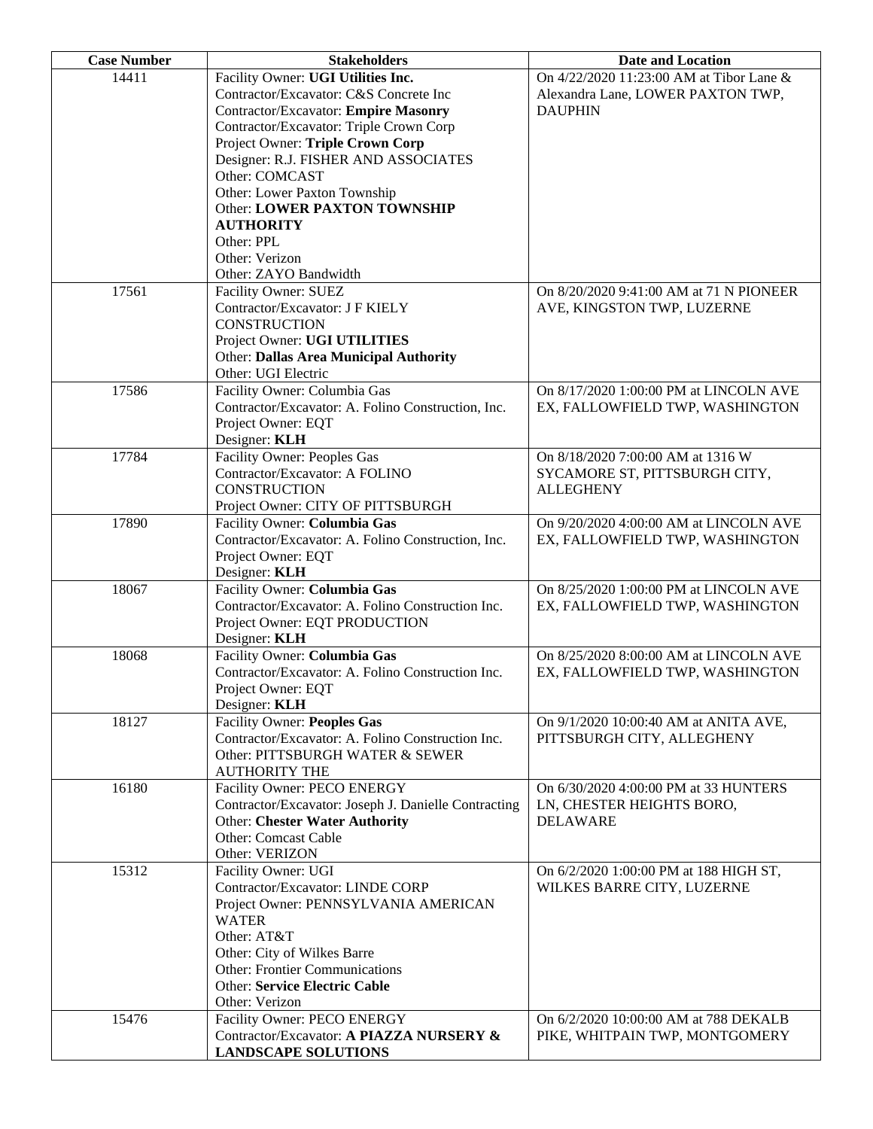| <b>Case Number</b> | <b>Stakeholders</b>                                  | Date and Location                        |
|--------------------|------------------------------------------------------|------------------------------------------|
| 14411              | Facility Owner: UGI Utilities Inc.                   | On 4/22/2020 11:23:00 AM at Tibor Lane & |
|                    | Contractor/Excavator: C&S Concrete Inc               | Alexandra Lane, LOWER PAXTON TWP,        |
|                    | <b>Contractor/Excavator: Empire Masonry</b>          | <b>DAUPHIN</b>                           |
|                    | Contractor/Excavator: Triple Crown Corp              |                                          |
|                    | Project Owner: Triple Crown Corp                     |                                          |
|                    | Designer: R.J. FISHER AND ASSOCIATES                 |                                          |
|                    | Other: COMCAST                                       |                                          |
|                    | Other: Lower Paxton Township                         |                                          |
|                    | Other: LOWER PAXTON TOWNSHIP                         |                                          |
|                    | <b>AUTHORITY</b>                                     |                                          |
|                    | Other: PPL                                           |                                          |
|                    | Other: Verizon                                       |                                          |
|                    | Other: ZAYO Bandwidth                                |                                          |
| 17561              | Facility Owner: SUEZ                                 | On 8/20/2020 9:41:00 AM at 71 N PIONEER  |
|                    | Contractor/Excavator: J F KIELY                      | AVE, KINGSTON TWP, LUZERNE               |
|                    | <b>CONSTRUCTION</b>                                  |                                          |
|                    | Project Owner: UGI UTILITIES                         |                                          |
|                    | <b>Other: Dallas Area Municipal Authority</b>        |                                          |
|                    | Other: UGI Electric                                  |                                          |
| 17586              | Facility Owner: Columbia Gas                         | On 8/17/2020 1:00:00 PM at LINCOLN AVE   |
|                    | Contractor/Excavator: A. Folino Construction, Inc.   | EX, FALLOWFIELD TWP, WASHINGTON          |
|                    | Project Owner: EQT                                   |                                          |
|                    | Designer: KLH                                        |                                          |
| 17784              | <b>Facility Owner: Peoples Gas</b>                   | On 8/18/2020 7:00:00 AM at 1316 W        |
|                    | Contractor/Excavator: A FOLINO                       | SYCAMORE ST, PITTSBURGH CITY,            |
|                    | <b>CONSTRUCTION</b>                                  | <b>ALLEGHENY</b>                         |
|                    | Project Owner: CITY OF PITTSBURGH                    |                                          |
| 17890              | Facility Owner: Columbia Gas                         | On 9/20/2020 4:00:00 AM at LINCOLN AVE   |
|                    | Contractor/Excavator: A. Folino Construction, Inc.   | EX, FALLOWFIELD TWP, WASHINGTON          |
|                    | Project Owner: EQT                                   |                                          |
|                    | Designer: KLH                                        |                                          |
| 18067              | Facility Owner: Columbia Gas                         | On 8/25/2020 1:00:00 PM at LINCOLN AVE   |
|                    | Contractor/Excavator: A. Folino Construction Inc.    | EX, FALLOWFIELD TWP, WASHINGTON          |
|                    | Project Owner: EQT PRODUCTION                        |                                          |
|                    | Designer: KLH                                        |                                          |
| 18068              | Facility Owner: Columbia Gas                         | On 8/25/2020 8:00:00 AM at LINCOLN AVE   |
|                    | Contractor/Excavator: A. Folino Construction Inc.    | EX, FALLOWFIELD TWP, WASHINGTON          |
|                    | Project Owner: EQT                                   |                                          |
|                    | Designer: KLH                                        |                                          |
| 18127              | <b>Facility Owner: Peoples Gas</b>                   | On 9/1/2020 10:00:40 AM at ANITA AVE,    |
|                    | Contractor/Excavator: A. Folino Construction Inc.    | PITTSBURGH CITY, ALLEGHENY               |
|                    | Other: PITTSBURGH WATER & SEWER                      |                                          |
|                    | <b>AUTHORITY THE</b>                                 |                                          |
| 16180              | Facility Owner: PECO ENERGY                          | On 6/30/2020 4:00:00 PM at 33 HUNTERS    |
|                    | Contractor/Excavator: Joseph J. Danielle Contracting | LN, CHESTER HEIGHTS BORO,                |
|                    | <b>Other: Chester Water Authority</b>                | <b>DELAWARE</b>                          |
|                    | Other: Comcast Cable                                 |                                          |
|                    | Other: VERIZON                                       |                                          |
| 15312              | Facility Owner: UGI                                  | On 6/2/2020 1:00:00 PM at 188 HIGH ST,   |
|                    | Contractor/Excavator: LINDE CORP                     | WILKES BARRE CITY, LUZERNE               |
|                    | Project Owner: PENNSYLVANIA AMERICAN                 |                                          |
|                    | <b>WATER</b>                                         |                                          |
|                    | Other: AT&T                                          |                                          |
|                    | Other: City of Wilkes Barre                          |                                          |
|                    | <b>Other: Frontier Communications</b>                |                                          |
|                    | Other: Service Electric Cable                        |                                          |
|                    | Other: Verizon                                       |                                          |
| 15476              | Facility Owner: PECO ENERGY                          | On 6/2/2020 10:00:00 AM at 788 DEKALB    |
|                    | Contractor/Excavator: A PIAZZA NURSERY &             | PIKE, WHITPAIN TWP, MONTGOMERY           |
|                    | <b>LANDSCAPE SOLUTIONS</b>                           |                                          |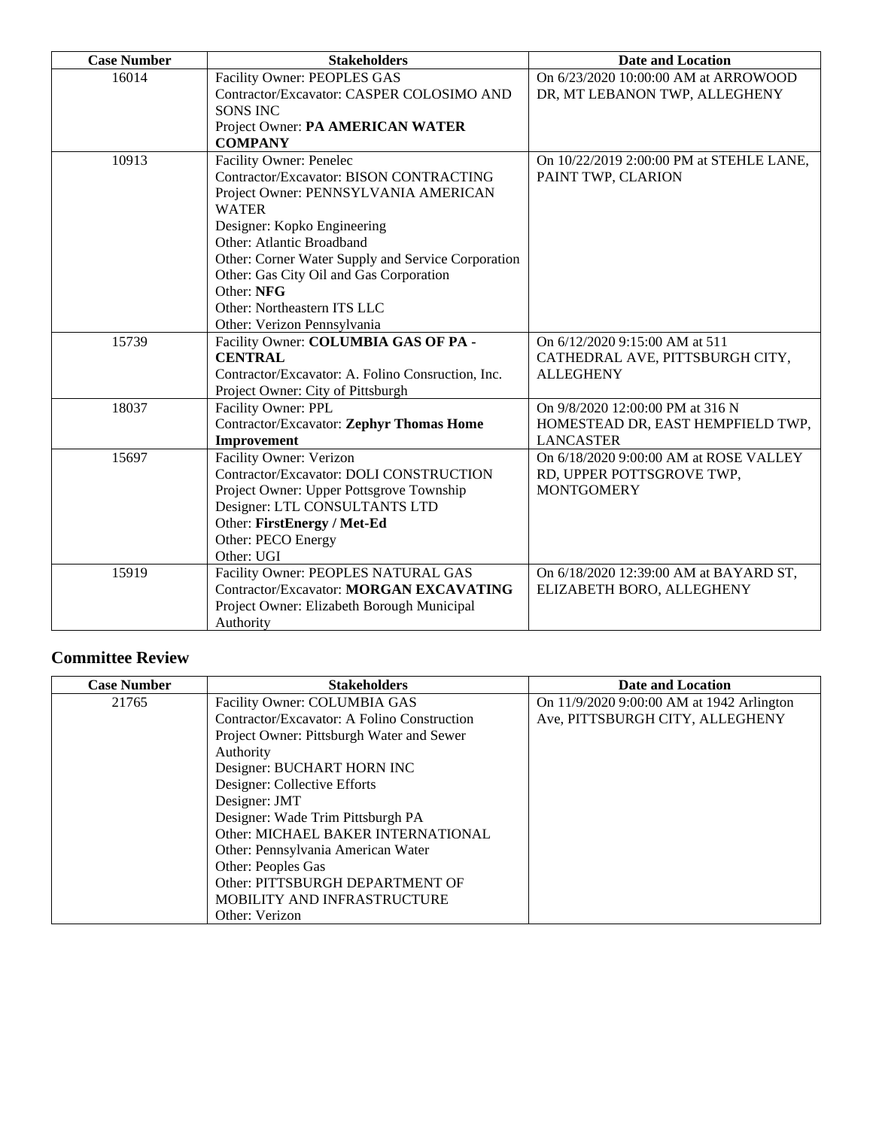| <b>Case Number</b> | <b>Stakeholders</b>                                | <b>Date and Location</b>                 |
|--------------------|----------------------------------------------------|------------------------------------------|
| 16014              | Facility Owner: PEOPLES GAS                        | On 6/23/2020 10:00:00 AM at ARROWOOD     |
|                    | Contractor/Excavator: CASPER COLOSIMO AND          | DR, MT LEBANON TWP, ALLEGHENY            |
|                    | <b>SONS INC</b>                                    |                                          |
|                    | Project Owner: PA AMERICAN WATER                   |                                          |
|                    | <b>COMPANY</b>                                     |                                          |
| 10913              | Facility Owner: Penelec                            | On 10/22/2019 2:00:00 PM at STEHLE LANE, |
|                    | Contractor/Excavator: BISON CONTRACTING            | PAINT TWP, CLARION                       |
|                    | Project Owner: PENNSYLVANIA AMERICAN               |                                          |
|                    | <b>WATER</b>                                       |                                          |
|                    | Designer: Kopko Engineering                        |                                          |
|                    | Other: Atlantic Broadband                          |                                          |
|                    | Other: Corner Water Supply and Service Corporation |                                          |
|                    | Other: Gas City Oil and Gas Corporation            |                                          |
|                    | Other: NFG                                         |                                          |
|                    | Other: Northeastern ITS LLC                        |                                          |
|                    | Other: Verizon Pennsylvania                        |                                          |
| 15739              | Facility Owner: COLUMBIA GAS OF PA -               | On 6/12/2020 9:15:00 AM at 511           |
|                    | <b>CENTRAL</b>                                     | CATHEDRAL AVE, PITTSBURGH CITY,          |
|                    | Contractor/Excavator: A. Folino Consruction, Inc.  | <b>ALLEGHENY</b>                         |
|                    | Project Owner: City of Pittsburgh                  |                                          |
| 18037              | Facility Owner: PPL                                | On 9/8/2020 12:00:00 PM at 316 N         |
|                    | <b>Contractor/Excavator: Zephyr Thomas Home</b>    | HOMESTEAD DR, EAST HEMPFIELD TWP,        |
|                    | Improvement                                        | <b>LANCASTER</b>                         |
| 15697              | Facility Owner: Verizon                            | On 6/18/2020 9:00:00 AM at ROSE VALLEY   |
|                    | Contractor/Excavator: DOLI CONSTRUCTION            | RD, UPPER POTTSGROVE TWP,                |
|                    | Project Owner: Upper Pottsgrove Township           | <b>MONTGOMERY</b>                        |
|                    | Designer: LTL CONSULTANTS LTD                      |                                          |
|                    | Other: FirstEnergy / Met-Ed                        |                                          |
|                    | Other: PECO Energy                                 |                                          |
|                    | Other: UGI                                         |                                          |
| 15919              | Facility Owner: PEOPLES NATURAL GAS                | On 6/18/2020 12:39:00 AM at BAYARD ST,   |
|                    | Contractor/Excavator: MORGAN EXCAVATING            | ELIZABETH BORO, ALLEGHENY                |
|                    | Project Owner: Elizabeth Borough Municipal         |                                          |
|                    | Authority                                          |                                          |

## **Committee Review**

| <b>Case Number</b> | <b>Stakeholders</b>                         | Date and Location                         |
|--------------------|---------------------------------------------|-------------------------------------------|
| 21765              | Facility Owner: COLUMBIA GAS                | On 11/9/2020 9:00:00 AM at 1942 Arlington |
|                    | Contractor/Excavator: A Folino Construction | Ave, PITTSBURGH CITY, ALLEGHENY           |
|                    | Project Owner: Pittsburgh Water and Sewer   |                                           |
|                    | Authority                                   |                                           |
|                    | Designer: BUCHART HORN INC                  |                                           |
|                    | Designer: Collective Efforts                |                                           |
|                    | Designer: JMT                               |                                           |
|                    | Designer: Wade Trim Pittsburgh PA           |                                           |
|                    | Other: MICHAEL BAKER INTERNATIONAL          |                                           |
|                    | Other: Pennsylvania American Water          |                                           |
|                    | Other: Peoples Gas                          |                                           |
|                    | Other: PITTSBURGH DEPARTMENT OF             |                                           |
|                    | MOBILITY AND INFRASTRUCTURE                 |                                           |
|                    | Other: Verizon                              |                                           |